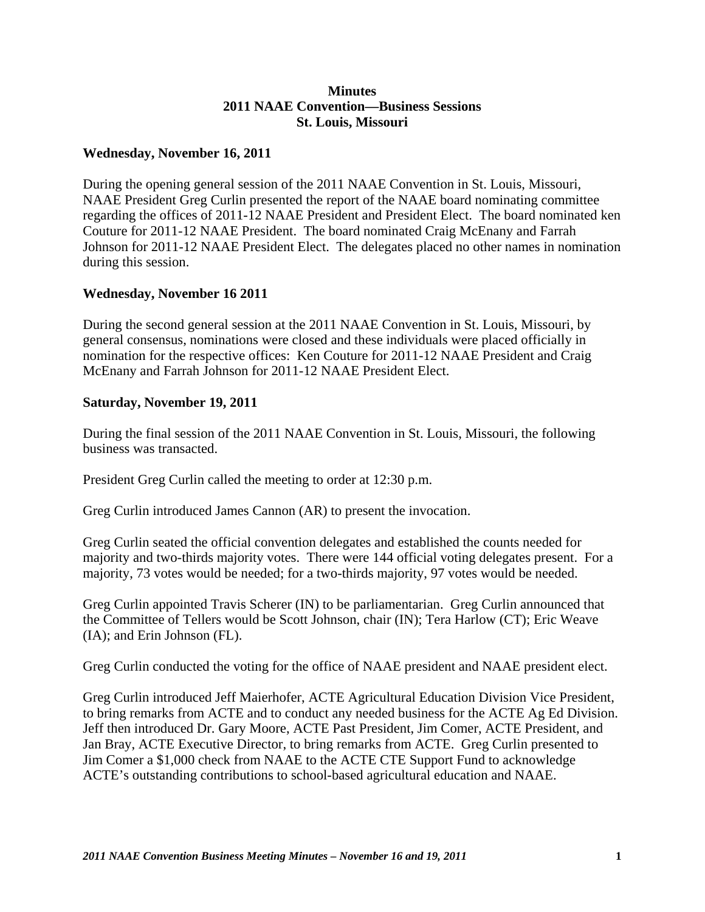## **Minutes 2011 NAAE Convention—Business Sessions St. Louis, Missouri**

## **Wednesday, November 16, 2011**

During the opening general session of the 2011 NAAE Convention in St. Louis, Missouri, NAAE President Greg Curlin presented the report of the NAAE board nominating committee regarding the offices of 2011-12 NAAE President and President Elect. The board nominated ken Couture for 2011-12 NAAE President. The board nominated Craig McEnany and Farrah Johnson for 2011-12 NAAE President Elect. The delegates placed no other names in nomination during this session.

## **Wednesday, November 16 2011**

During the second general session at the 2011 NAAE Convention in St. Louis, Missouri, by general consensus, nominations were closed and these individuals were placed officially in nomination for the respective offices: Ken Couture for 2011-12 NAAE President and Craig McEnany and Farrah Johnson for 2011-12 NAAE President Elect.

## **Saturday, November 19, 2011**

During the final session of the 2011 NAAE Convention in St. Louis, Missouri, the following business was transacted.

President Greg Curlin called the meeting to order at 12:30 p.m.

Greg Curlin introduced James Cannon (AR) to present the invocation.

Greg Curlin seated the official convention delegates and established the counts needed for majority and two-thirds majority votes. There were 144 official voting delegates present. For a majority, 73 votes would be needed; for a two-thirds majority, 97 votes would be needed.

Greg Curlin appointed Travis Scherer (IN) to be parliamentarian. Greg Curlin announced that the Committee of Tellers would be Scott Johnson, chair (IN); Tera Harlow (CT); Eric Weave (IA); and Erin Johnson (FL).

Greg Curlin conducted the voting for the office of NAAE president and NAAE president elect.

Greg Curlin introduced Jeff Maierhofer, ACTE Agricultural Education Division Vice President, to bring remarks from ACTE and to conduct any needed business for the ACTE Ag Ed Division. Jeff then introduced Dr. Gary Moore, ACTE Past President, Jim Comer, ACTE President, and Jan Bray, ACTE Executive Director, to bring remarks from ACTE. Greg Curlin presented to Jim Comer a \$1,000 check from NAAE to the ACTE CTE Support Fund to acknowledge ACTE's outstanding contributions to school-based agricultural education and NAAE.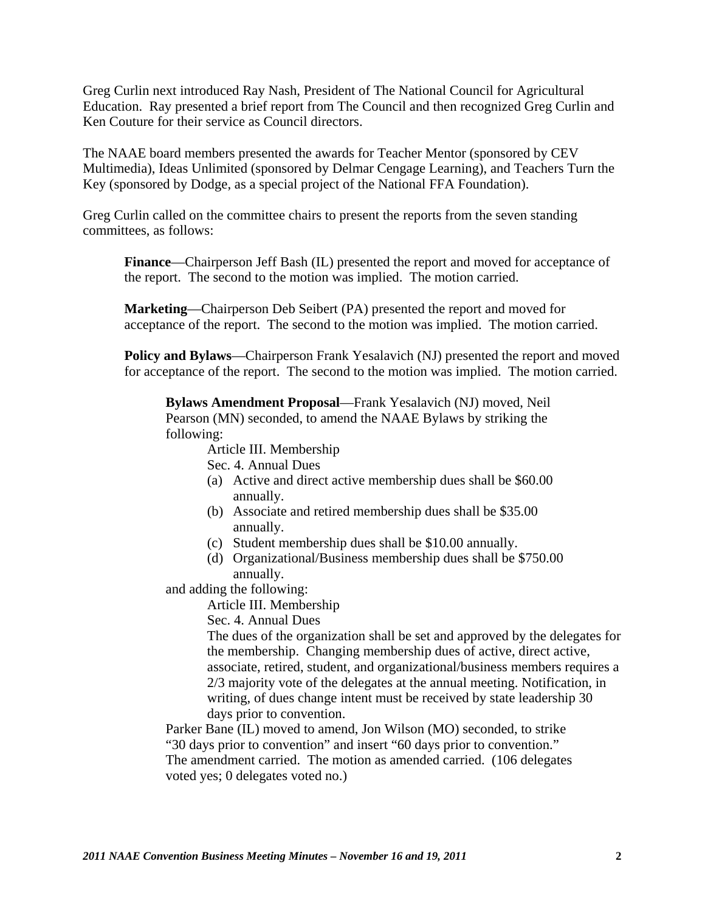Greg Curlin next introduced Ray Nash, President of The National Council for Agricultural Education. Ray presented a brief report from The Council and then recognized Greg Curlin and Ken Couture for their service as Council directors.

The NAAE board members presented the awards for Teacher Mentor (sponsored by CEV Multimedia), Ideas Unlimited (sponsored by Delmar Cengage Learning), and Teachers Turn the Key (sponsored by Dodge, as a special project of the National FFA Foundation).

Greg Curlin called on the committee chairs to present the reports from the seven standing committees, as follows:

**Finance**—Chairperson Jeff Bash (IL) presented the report and moved for acceptance of the report. The second to the motion was implied. The motion carried.

**Marketing**—Chairperson Deb Seibert (PA) presented the report and moved for acceptance of the report. The second to the motion was implied. The motion carried.

**Policy and Bylaws**—Chairperson Frank Yesalavich (NJ) presented the report and moved for acceptance of the report. The second to the motion was implied. The motion carried.

**Bylaws Amendment Proposal**—Frank Yesalavich (NJ) moved, Neil Pearson (MN) seconded, to amend the NAAE Bylaws by striking the following:

Article III. Membership

Sec. 4. Annual Dues

- (a) Active and direct active membership dues shall be \$60.00 annually.
- (b) Associate and retired membership dues shall be \$35.00 annually.
- (c) Student membership dues shall be \$10.00 annually.
- (d) Organizational/Business membership dues shall be \$750.00 annually.

and adding the following:

Article III. Membership

Sec. 4. Annual Dues

The dues of the organization shall be set and approved by the delegates for the membership. Changing membership dues of active, direct active, associate, retired, student, and organizational/business members requires a 2/3 majority vote of the delegates at the annual meeting. Notification, in writing, of dues change intent must be received by state leadership 30 days prior to convention.

Parker Bane (IL) moved to amend, Jon Wilson (MO) seconded, to strike "30 days prior to convention" and insert "60 days prior to convention." The amendment carried. The motion as amended carried. (106 delegates voted yes; 0 delegates voted no.)